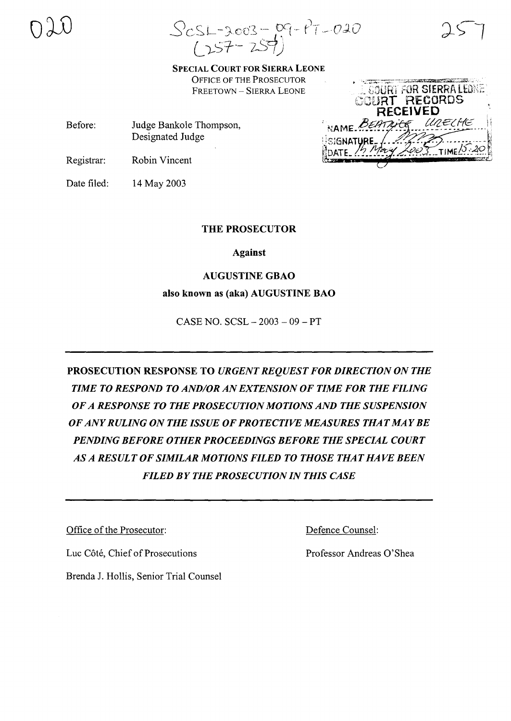$ScSL-3003-09-17-020$ <br> $(257-257)$ 

SPECIAL COURT FOR SIERRA LEONE OFFICE OF THE PROSECUTOR FREETOWN - SIERRA LEONE

Before: Judge Bankole Thompson, Designated Judge

Registrar: Robin Vincent

Date filed: 14 May 2003

# THE PROSECUTOR

Against

# AUGUSTINE GBAO

also known as (aka) AUGUSTINE BAO

CASE NO. SCSL - 2003 - 09 - PT

PROSECUTION RESPONSE TO *URGENT REQUEST FOR DIRECTION ON THE TIME TO RESPOND TO AND/OR ANEXTENSION OF TIME FOR THE FILING OF A RESPONSE TO THE PROSECUTION MOTIONS AND THE SUSPENSION OF ANYRULING ON THE ISSUE OF PROTECTIVE MEASURES THAT MAY BE PENDING BEFORE OTHER PROCEEDINGS BEFORE THE SPECIAL COURT AS A RESULT OF SIMILAR MOTIONS FILED TO THOSE THAT HAVE BEEN FILED BY THE PROSECUTION IN THIS CASE*

Office of the Prosecutor:

Luc Côté, Chief of Prosecutions

Brenda 1. Hollis, Senior Trial Counsel

Defence Counsel:

Professor Andreas O'Shea

CORDS VED UNECHE **IATURE**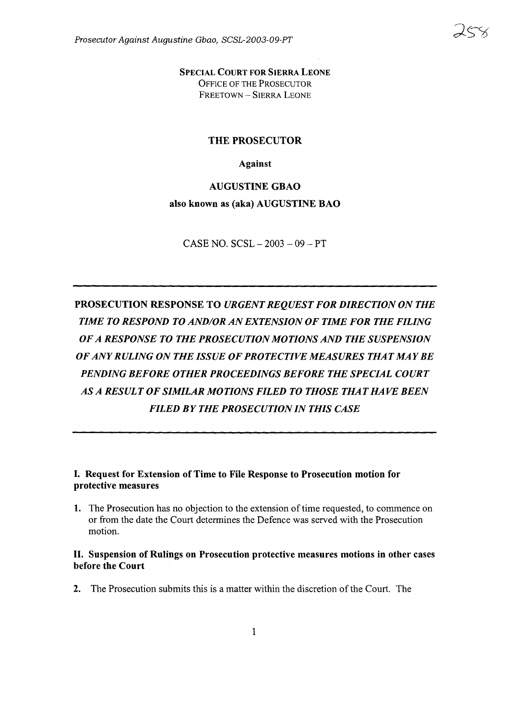SPECIAL COURT FOR SIERRA LEONE OFFICE OF THE PROSECUTOR FREETOWN - SIERRA LEONE

### THE PROSECUTOR

#### Against

AUGUSTINE GBAO also known as (aka) AUGUSTINE BAO

CASE NO.  $SCSL - 2003 - 09 - PT$ 

PROSECUTION RESPONSE TO *URGENTREQUEST FOR DIRECTION ON THE TIME TO RESPOND TO AND/OR ANEXTENSION OF TIME FOR THE FILING OF A RESPONSE TO THE PROSECUTION MOTIONS AND THE SUSPENSION OF ANYRULING ON THE ISSUE OF PROTECTIVE MEASURES THAT MAY BE PENDING BEFORE OTHER PROCEEDINGS BEFORE THE SPECIAL COURT AS A RESULT OF SIMILAR MOTIONS FILED TO THOSE THAT HAVE BEEN FILED BY THE PROSECUTION IN THIS CASE*

### I. Request for Extension of Time to File Response to Prosecution motion for protective measures

1. The Prosecution has no objection to the extension of time requested, to commence on or from the date the Court determines the Defence was served with the Prosecution motion.

## II. Suspension of Rulings on Prosecution protective measures motions in other cases before the Court

2. The Prosecution submits this is a matter within the discretion of the Court. The